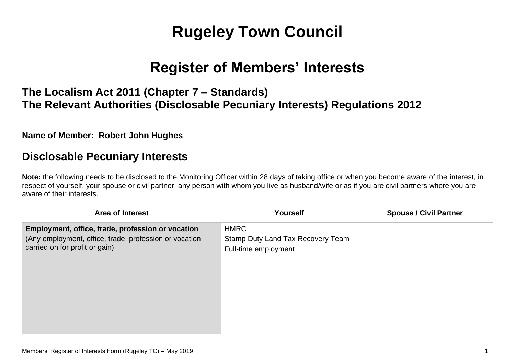# **Rugeley Town Council**

## **Register of Members' Interests**

## **The Localism Act 2011 (Chapter 7 – Standards) The Relevant Authorities (Disclosable Pecuniary Interests) Regulations 2012**

#### **Name of Member: Robert John Hughes**

### **Disclosable Pecuniary Interests**

**Note:** the following needs to be disclosed to the Monitoring Officer within 28 days of taking office or when you become aware of the interest, in respect of yourself, your spouse or civil partner, any person with whom you live as husband/wife or as if you are civil partners where you are aware of their interests.

| <b>Area of Interest</b>                                                                                                                       | <b>Yourself</b>                                                          | <b>Spouse / Civil Partner</b> |
|-----------------------------------------------------------------------------------------------------------------------------------------------|--------------------------------------------------------------------------|-------------------------------|
| Employment, office, trade, profession or vocation<br>(Any employment, office, trade, profession or vocation<br>carried on for profit or gain) | <b>HMRC</b><br>Stamp Duty Land Tax Recovery Team<br>Full-time employment |                               |
|                                                                                                                                               |                                                                          |                               |
|                                                                                                                                               |                                                                          |                               |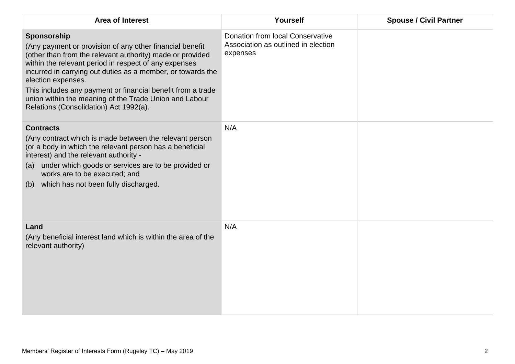| <b>Area of Interest</b>                                                                                                                                                                                                                                                                                                                                                                                                                               | Yourself                                                                                   | <b>Spouse / Civil Partner</b> |
|-------------------------------------------------------------------------------------------------------------------------------------------------------------------------------------------------------------------------------------------------------------------------------------------------------------------------------------------------------------------------------------------------------------------------------------------------------|--------------------------------------------------------------------------------------------|-------------------------------|
| Sponsorship<br>(Any payment or provision of any other financial benefit<br>(other than from the relevant authority) made or provided<br>within the relevant period in respect of any expenses<br>incurred in carrying out duties as a member, or towards the<br>election expenses.<br>This includes any payment or financial benefit from a trade<br>union within the meaning of the Trade Union and Labour<br>Relations (Consolidation) Act 1992(a). | <b>Donation from local Conservative</b><br>Association as outlined in election<br>expenses |                               |
| <b>Contracts</b><br>(Any contract which is made between the relevant person<br>(or a body in which the relevant person has a beneficial<br>interest) and the relevant authority -<br>under which goods or services are to be provided or<br>(a)<br>works are to be executed; and<br>(b) which has not been fully discharged.                                                                                                                          | N/A                                                                                        |                               |
| Land<br>(Any beneficial interest land which is within the area of the<br>relevant authority)                                                                                                                                                                                                                                                                                                                                                          | N/A                                                                                        |                               |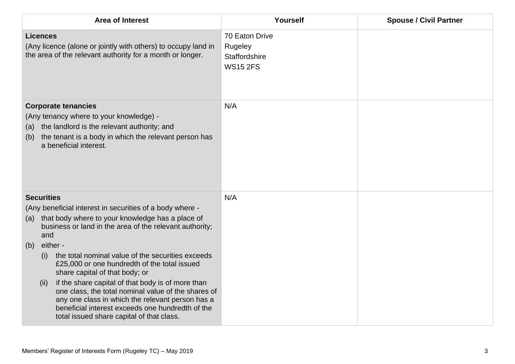| <b>Area of Interest</b>                                                                                                                                                                                                                                                                                                                                                                                                                                                                                                                                                                                                                              | Yourself                                                      | <b>Spouse / Civil Partner</b> |
|------------------------------------------------------------------------------------------------------------------------------------------------------------------------------------------------------------------------------------------------------------------------------------------------------------------------------------------------------------------------------------------------------------------------------------------------------------------------------------------------------------------------------------------------------------------------------------------------------------------------------------------------------|---------------------------------------------------------------|-------------------------------|
| <b>Licences</b><br>(Any licence (alone or jointly with others) to occupy land in<br>the area of the relevant authority for a month or longer.                                                                                                                                                                                                                                                                                                                                                                                                                                                                                                        | 70 Eaton Drive<br>Rugeley<br>Staffordshire<br><b>WS15 2FS</b> |                               |
| <b>Corporate tenancies</b><br>(Any tenancy where to your knowledge) -<br>the landlord is the relevant authority; and<br>(a)<br>the tenant is a body in which the relevant person has<br>(b)<br>a beneficial interest.                                                                                                                                                                                                                                                                                                                                                                                                                                | N/A                                                           |                               |
| <b>Securities</b><br>(Any beneficial interest in securities of a body where -<br>that body where to your knowledge has a place of<br>(a)<br>business or land in the area of the relevant authority;<br>and<br>either -<br>(b)<br>the total nominal value of the securities exceeds<br>(i)<br>£25,000 or one hundredth of the total issued<br>share capital of that body; or<br>if the share capital of that body is of more than<br>(ii)<br>one class, the total nominal value of the shares of<br>any one class in which the relevant person has a<br>beneficial interest exceeds one hundredth of the<br>total issued share capital of that class. | N/A                                                           |                               |